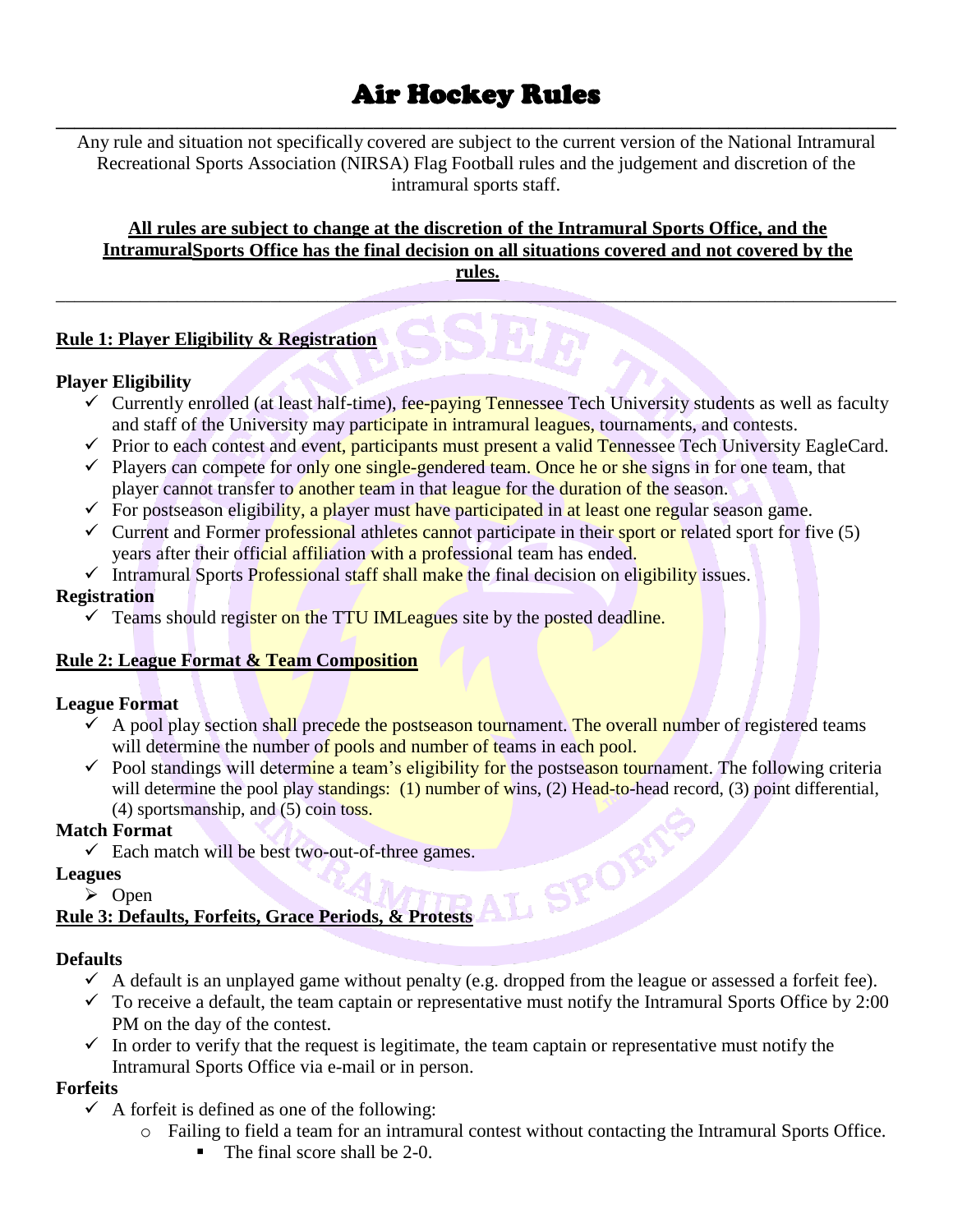# Air Hockey Rules

**\_\_\_\_\_\_\_\_\_\_\_\_\_\_\_\_\_\_\_\_\_\_\_\_\_\_\_\_\_\_\_\_\_\_\_\_\_\_\_\_\_\_\_\_\_\_\_\_\_\_\_\_\_\_\_\_\_\_\_\_\_\_\_\_\_\_\_\_\_\_\_\_\_\_\_\_\_\_\_\_\_\_\_\_\_\_\_\_\_\_** Any rule and situation not specifically covered are subject to the current version of the National Intramural Recreational Sports Association (NIRSA) Flag Football rules and the judgement and discretion of the intramural sports staff.

#### **All rules are subject to change at the discretion of the Intramural Sports Office, and the IntramuralSports Office has the final decision on all situations covered and not covered by the rules.**

 $\mathcal{L} = \{ \mathcal{L} \mid \mathcal{L} \text{ and } \mathcal{L} \text{ and } \mathcal{L} \}$ 

# **Rule 1: Player Eligibility & Registration**

#### **Player Eligibility**

- $\checkmark$  Currently enrolled (at least half-time), fee-paying Tennessee Tech University students as well as faculty and staff of the University may participate in intramural leagues, tournaments, and contests.
- $\checkmark$  Prior to each contest and event, participants must present a valid Tennessee Tech University EagleCard.
- $\checkmark$  Players can compete for only one single-gendered team. Once he or she signs in for one team, that player cannot transfer to another team in that league for the duration of the season.
- $\checkmark$  For postseason eligibility, a player must have participated in at least one regular season game.
- $\checkmark$  Current and Former professional athletes cannot participate in their sport or related sport for five (5) years after their official affiliation with a professional team has ended.
- $\checkmark$  Intramural Sports Professional staff shall make the final decision on eligibility issues.

#### **Registration**

 $\checkmark$  Teams should register on the TTU IML eagues site by the posted deadline.

# **Rule 2: League Format & Team Composition**

#### **League Format**

- $\checkmark$  A pool play section shall precede the postseason tournament. The overall number of registered teams will determine the number of pools and number of teams in each pool.
- $\checkmark$  Pool standings will determine a team's eligibility for the postseason tournament. The following criteria will determine the pool play standings: (1) number of wins, (2) Head-to-head record, (3) point differential, (4) sportsmanship, and (5) coin toss.

# **Match Format**

#### **Leagues**

➢ Open

# V Each match will be best two-out-of-three games.<br>
→ Open<br>
e 3: Defaults, Forfeits. Grace P: **Rule 3: Defaults, Forfeits, Grace Periods, & Protests**

#### **Defaults**

- $\checkmark$  A default is an unplayed game without penalty (e.g. dropped from the league or assessed a forfeit fee).
- $\checkmark$  To receive a default, the team captain or representative must notify the Intramural Sports Office by 2:00 PM on the day of the contest.
- $\checkmark$  In order to verify that the request is legitimate, the team captain or representative must notify the Intramural Sports Office via e-mail or in person.

# **Forfeits**

- $\checkmark$  A forfeit is defined as one of the following:
	- o Failing to field a team for an intramural contest without contacting the Intramural Sports Office.
		- The final score shall be 2-0.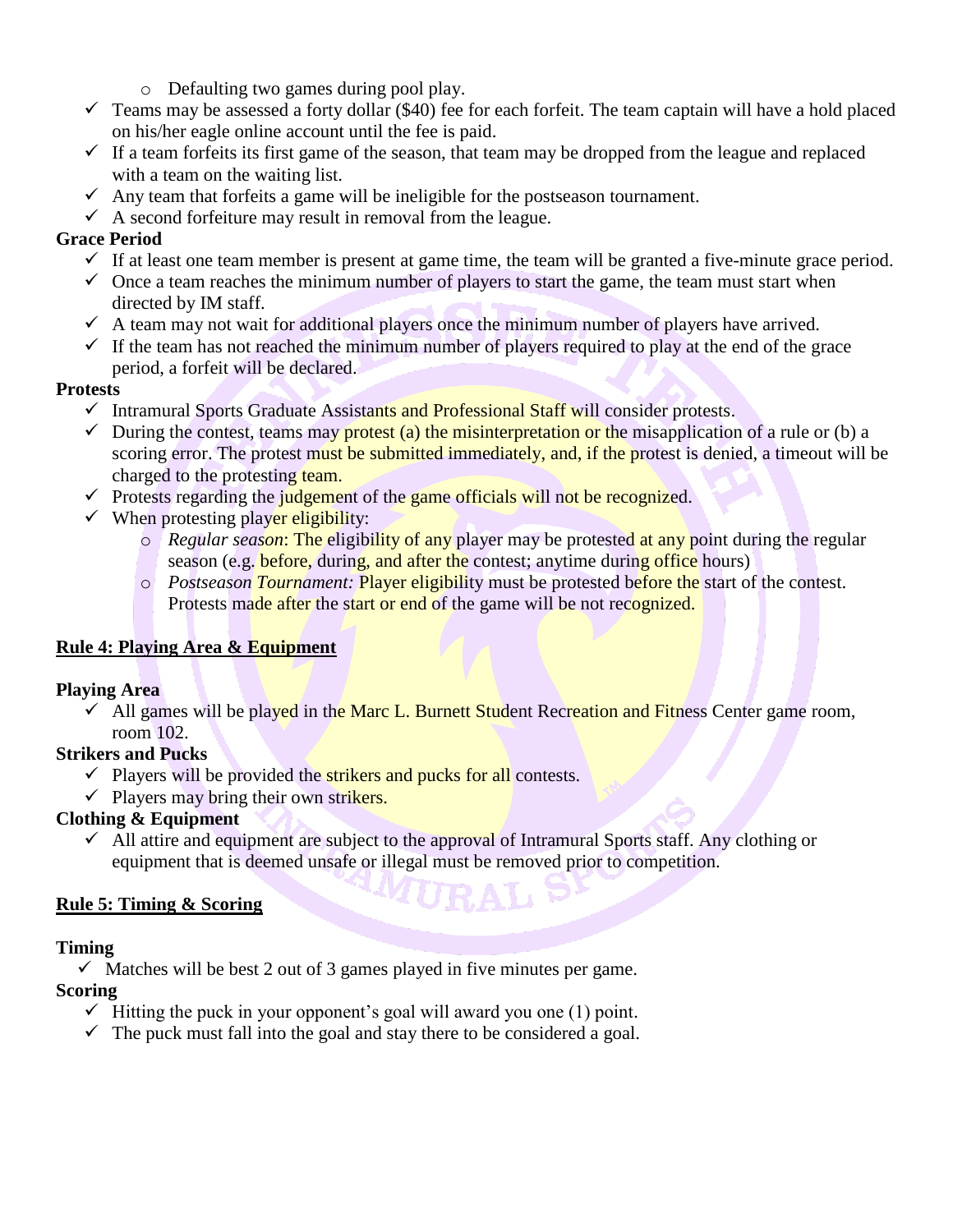- o Defaulting two games during pool play.
- $\checkmark$  Teams may be assessed a forty dollar (\$40) fee for each forfeit. The team captain will have a hold placed on his/her eagle online account until the fee is paid.
- $\checkmark$  If a team forfeits its first game of the season, that team may be dropped from the league and replaced with a team on the waiting list.
- $\checkmark$  Any team that forfeits a game will be ineligible for the postseason tournament.
- $\checkmark$  A second forfeiture may result in removal from the league.

# **Grace Period**

- $\checkmark$  If at least one team member is present at game time, the team will be granted a five-minute grace period.
- $\checkmark$  Once a team reaches the minimum number of players to start the game, the team must start when directed by IM staff.
- $\checkmark$  A team may not wait for additional players once the minimum number of players have arrived.
- $\checkmark$  If the team has not reached the minimum number of players required to play at the end of the grace period, a forfeit will be declared.

# **Protests**

- ✓ Intramural Sports Graduate Assistants and Professional Staff will consider protests.
- $\checkmark$  During the contest, teams may protest (a) the misinterpretation or the misapplication of a rule or (b) a scoring error. The protest must be submitted immediately, and, if the protest is denied, a timeout will be charged to the protesting team.
- $\checkmark$  Protests regarding the judgement of the game officials will not be recognized.
- $\checkmark$  When protesting player eligibility:
	- o *Regular season*: The eligibility of any player may be protested at any point during the regular season (e.g. before, during, and after the contest; anytime during office hours)
	- o *Postseason Tournament:* Player eligibility must be protested before the start of the contest. Protests made after the start or end of the game will be not recognized.

# **Rule 4: Playing Area & Equipment**

#### **Playing Area**

 $\checkmark$  All games will be played in the Marc L. Burnett Student Recreation and Fitness Center game room, room 102.

#### **Strikers and Pucks**

- $\checkmark$  Players will be provided the strikers and pucks for all contests.
- $\checkmark$  Players may bring their own strikers.

# **Clothing & Equipment**

 $\checkmark$  All attire and equipment are subject to the approval of Intramural Sports staff. Any clothing or equipment that is deemed unsafe or illegal must be removed prior to competition.

# **Rule 5: Timing & Scoring**

# **Timing**

 $\checkmark$  Matches will be best 2 out of 3 games played in five minutes per game.

# **Scoring**

- $\checkmark$  Hitting the puck in your opponent's goal will award you one (1) point.
- $\checkmark$  The puck must fall into the goal and stay there to be considered a goal.